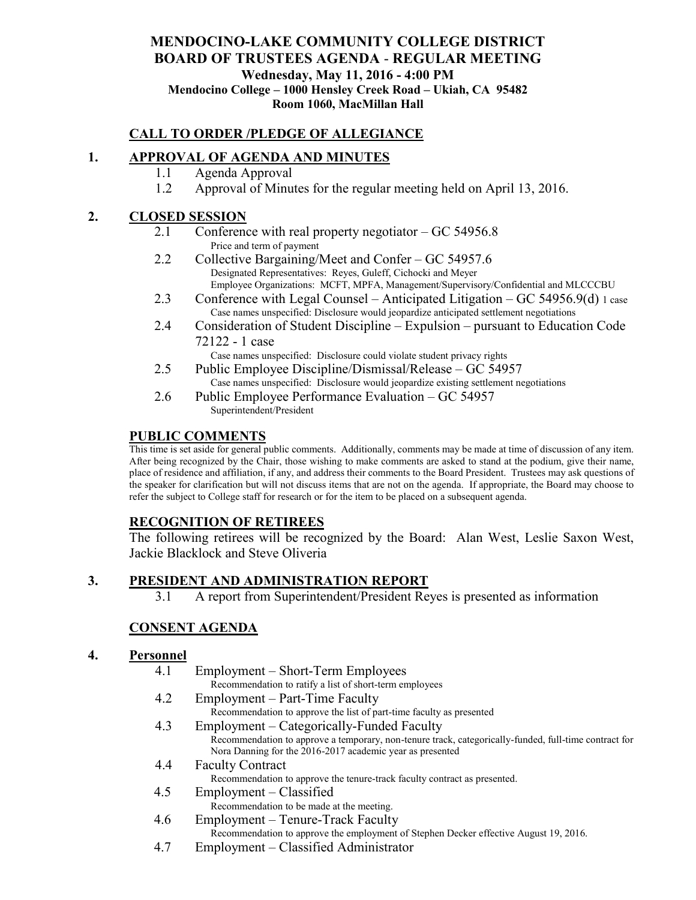## **MENDOCINO-LAKE COMMUNITY COLLEGE DISTRICT BOARD OF TRUSTEES AGENDA** - **REGULAR MEETING Wednesday, May 11, 2016 - 4:00 PM Mendocino College – 1000 Hensley Creek Road – Ukiah, CA 95482 Room 1060, MacMillan Hall**

## **CALL TO ORDER /PLEDGE OF ALLEGIANCE**

## **1. APPROVAL OF AGENDA AND MINUTES**

- 1.1 Agenda Approval
- 1.2 Approval of Minutes for the regular meeting held on April 13, 2016.

#### **2. CLOSED SESSION**

- 2.1 Conference with real property negotiator GC 54956.8 Price and term of payment
- 2.2 Collective Bargaining/Meet and Confer GC 54957.6 Designated Representatives: Reyes, Guleff, Cichocki and Meyer Employee Organizations: MCFT, MPFA, Management/Supervisory/Confidential and MLCCCBU
- 2.3 Conference with Legal Counsel Anticipated Litigation GC 54956.9(d) 1 case Case names unspecified: Disclosure would jeopardize anticipated settlement negotiations
- 2.4 Consideration of Student Discipline Expulsion pursuant to Education Code 72122 - 1 case
	- Case names unspecified: Disclosure could violate student privacy rights
- 2.5 Public Employee Discipline/Dismissal/Release GC 54957 Case names unspecified: Disclosure would jeopardize existing settlement negotiations
- 2.6 Public Employee Performance Evaluation GC 54957 Superintendent/President

#### **PUBLIC COMMENTS**

This time is set aside for general public comments. Additionally, comments may be made at time of discussion of any item. After being recognized by the Chair, those wishing to make comments are asked to stand at the podium, give their name, place of residence and affiliation, if any, and address their comments to the Board President. Trustees may ask questions of the speaker for clarification but will not discuss items that are not on the agenda. If appropriate, the Board may choose to refer the subject to College staff for research or for the item to be placed on a subsequent agenda.

## **RECOGNITION OF RETIREES**

The following retirees will be recognized by the Board: Alan West, Leslie Saxon West, Jackie Blacklock and Steve Oliveria

## **3. PRESIDENT AND ADMINISTRATION REPORT**

3.1 A report from Superintendent/President Reyes is presented as information

## **CONSENT AGENDA**

## **4. Personnel**

- 4.1 Employment Short-Term Employees Recommendation to ratify a list of short-term employees 4.2 Employment – Part-Time Faculty Recommendation to approve the list of part-time faculty as presented 4.3 Employment – Categorically-Funded Faculty
	- Recommendation to approve a temporary, non-tenure track, categorically-funded, full-time contract for Nora Danning for the 2016-2017 academic year as presented
- 4.4 Faculty Contract Recommendation to approve the tenure-track faculty contract as presented.
- 4.5 Employment Classified
	- Recommendation to be made at the meeting.
- 4.6 Employment Tenure-Track Faculty
	- Recommendation to approve the employment of Stephen Decker effective August 19, 2016.
- 4.7 Employment Classified Administrator